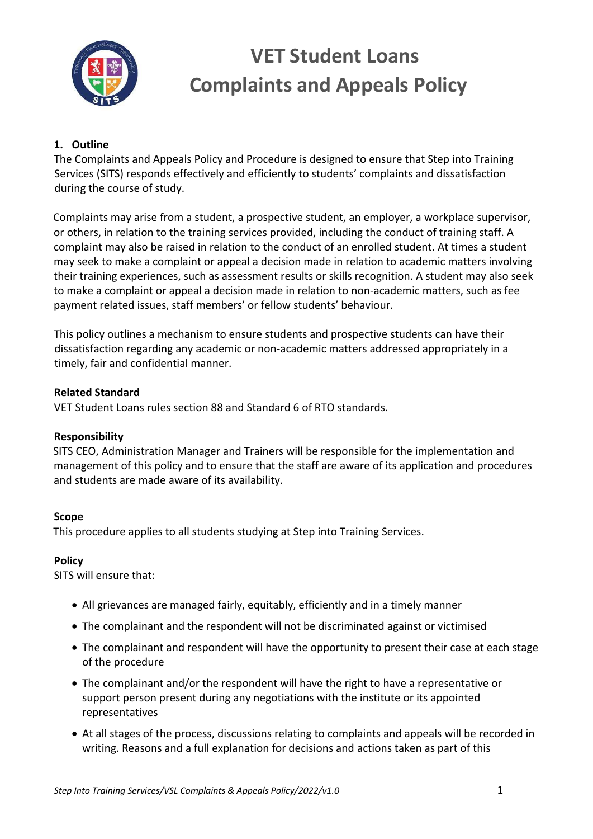

## **1. Outline**

The Complaints and Appeals Policy and Procedure is designed to ensure that Step into Training Services (SITS) responds effectively and efficiently to students' complaints and dissatisfaction during the course of study.

Complaints may arise from a student, a prospective student, an employer, a workplace supervisor, or others, in relation to the training services provided, including the conduct of training staff. A complaint may also be raised in relation to the conduct of an enrolled student. At times a student may seek to make a complaint or appeal a decision made in relation to academic matters involving their training experiences, such as assessment results or skills recognition. A student may also seek to make a complaint or appeal a decision made in relation to non-academic matters, such as fee payment related issues, staff members' or fellow students' behaviour.

This policy outlines a mechanism to ensure students and prospective students can have their dissatisfaction regarding any academic or non-academic matters addressed appropriately in a timely, fair and confidential manner.

#### **Related Standard**

VET Student Loans rules section 88 and Standard 6 of RTO standards.

### **Responsibility**

SITS CEO, Administration Manager and Trainers will be responsible for the implementation and management of this policy and to ensure that the staff are aware of its application and procedures and students are made aware of its availability.

### **Scope**

This procedure applies to all students studying at Step into Training Services.

### **Policy**

SITS will ensure that:

- All grievances are managed fairly, equitably, efficiently and in a timely manner
- The complainant and the respondent will not be discriminated against or victimised
- The complainant and respondent will have the opportunity to present their case at each stage of the procedure
- The complainant and/or the respondent will have the right to have a representative or support person present during any negotiations with the institute or its appointed representatives
- At all stages of the process, discussions relating to complaints and appeals will be recorded in writing. Reasons and a full explanation for decisions and actions taken as part of this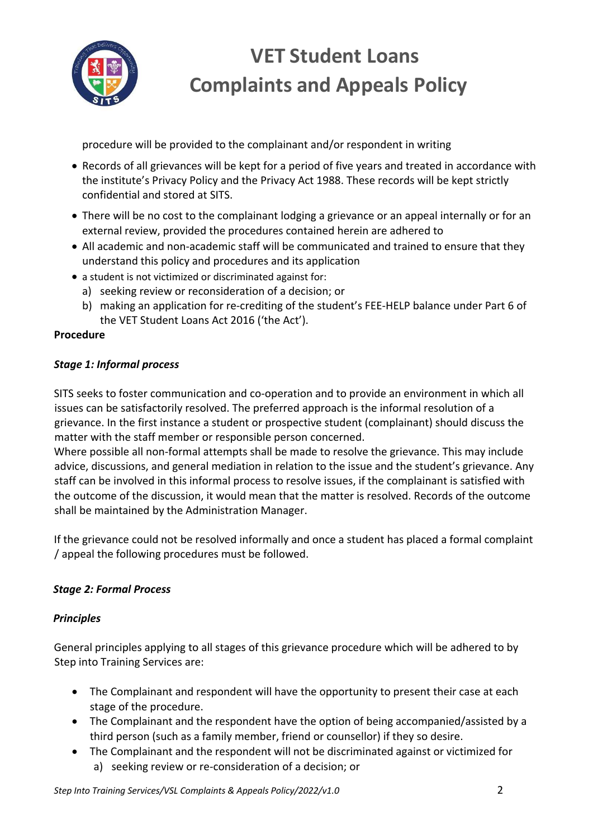

procedure will be provided to the complainant and/or respondent in writing

- Records of all grievances will be kept for a period of five years and treated in accordance with the institute's Privacy Policy and the Privacy Act 1988. These records will be kept strictly confidential and stored at SITS.
- There will be no cost to the complainant lodging a grievance or an appeal internally or for an external review, provided the procedures contained herein are adhered to
- All academic and non-academic staff will be communicated and trained to ensure that they understand this policy and procedures and its application
- a student is not victimized or discriminated against for:
	- a) seeking review or reconsideration of a decision; or
	- b) making an application for re-crediting of the student's FEE-HELP balance under Part 6 of the VET Student Loans Act 2016 ('the Act').

# **Procedure**

# *Stage 1: Informal process*

SITS seeks to foster communication and co-operation and to provide an environment in which all issues can be satisfactorily resolved. The preferred approach is the informal resolution of a grievance. In the first instance a student or prospective student (complainant) should discuss the matter with the staff member or responsible person concerned.

Where possible all non-formal attempts shall be made to resolve the grievance. This may include advice, discussions, and general mediation in relation to the issue and the student's grievance. Any staff can be involved in this informal process to resolve issues, if the complainant is satisfied with the outcome of the discussion, it would mean that the matter is resolved. Records of the outcome shall be maintained by the Administration Manager.

If the grievance could not be resolved informally and once a student has placed a formal complaint / appeal the following procedures must be followed.

# *Stage 2: Formal Process*

### *Principles*

General principles applying to all stages of this grievance procedure which will be adhered to by Step into Training Services are:

- The Complainant and respondent will have the opportunity to present their case at each stage of the procedure.
- The Complainant and the respondent have the option of being accompanied/assisted by a third person (such as a family member, friend or counsellor) if they so desire.
- The Complainant and the respondent will not be discriminated against or victimized for a) seeking review or re-consideration of a decision; or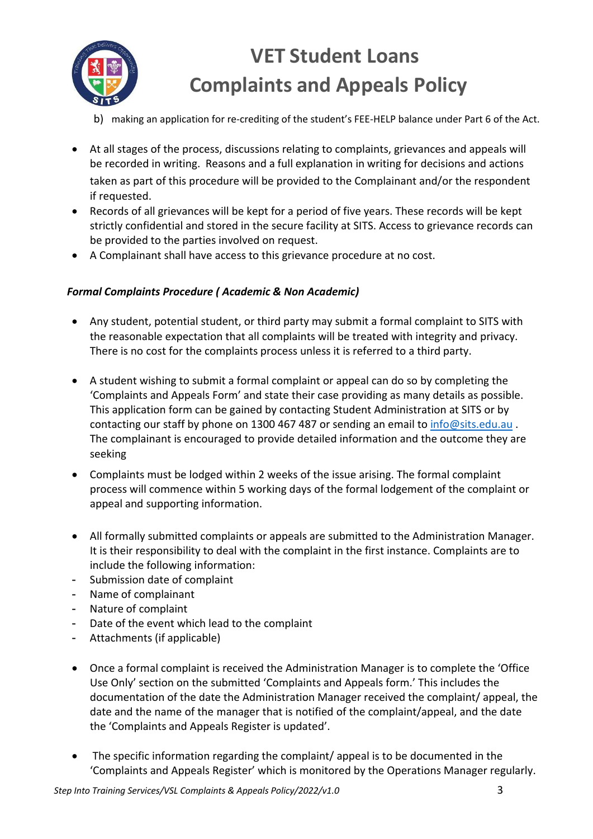

- b) making an application for re-crediting of the student's FEE-HELP balance under Part 6 of the Act.
- At all stages of the process, discussions relating to complaints, grievances and appeals will be recorded in writing. Reasons and a full explanation in writing for decisions and actions taken as part of this procedure will be provided to the Complainant and/or the respondent if requested.
- Records of all grievances will be kept for a period of five years. These records will be kept strictly confidential and stored in the secure facility at SITS. Access to grievance records can be provided to the parties involved on request.
- A Complainant shall have access to this grievance procedure at no cost.

## *Formal Complaints Procedure ( Academic & Non Academic)*

- Any student, potential student, or third party may submit a formal complaint to SITS with the reasonable expectation that all complaints will be treated with integrity and privacy. There is no cost for the complaints process unless it is referred to a third party.
- A student wishing to submit a formal complaint or appeal can do so by completing the 'Complaints and Appeals Form' and state their case providing as many details as possible. This application form can be gained by contacting Student Administration at SITS or by contacting our staff by phone on 1300 467 487 or sending an email to info@sits.edu.au . The complainant is encouraged to provide detailed information and the outcome they are seeking
- Complaints must be lodged within 2 weeks of the issue arising. The formal complaint process will commence within 5 working days of the formal lodgement of the complaint or appeal and supporting information.
- All formally submitted complaints or appeals are submitted to the Administration Manager. It is their responsibility to deal with the complaint in the first instance. Complaints are to include the following information:
- Submission date of complaint
- Name of complainant
- Nature of complaint
- Date of the event which lead to the complaint
- Attachments (if applicable)
- Once a formal complaint is received the Administration Manager is to complete the 'Office Use Only' section on the submitted 'Complaints and Appeals form.' This includes the documentation of the date the Administration Manager received the complaint/ appeal, the date and the name of the manager that is notified of the complaint/appeal, and the date the 'Complaints and Appeals Register is updated'.
- The specific information regarding the complaint/ appeal is to be documented in the 'Complaints and Appeals Register' which is monitored by the Operations Manager regularly.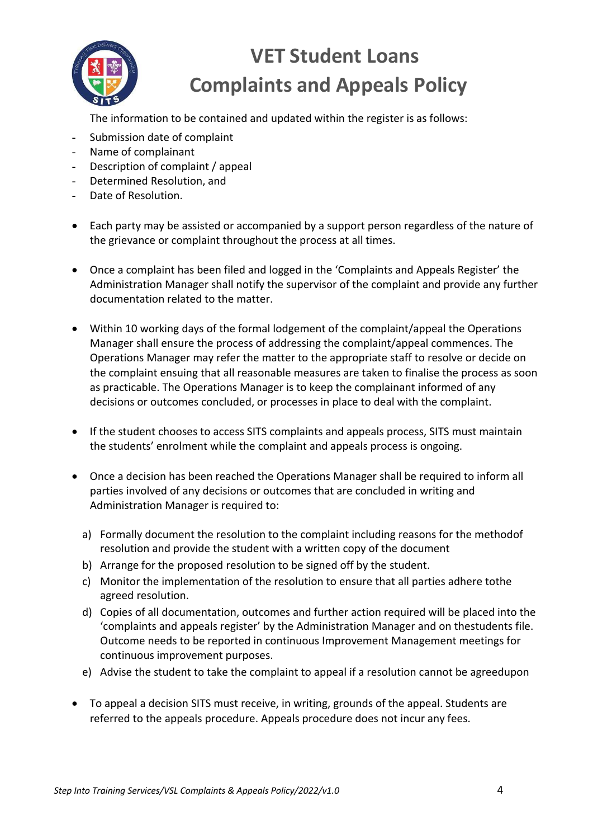

The information to be contained and updated within the register is as follows:

- Submission date of complaint
- Name of complainant
- Description of complaint / appeal
- Determined Resolution, and
- Date of Resolution.
- Each party may be assisted or accompanied by a support person regardless of the nature of the grievance or complaint throughout the process at all times.
- Once a complaint has been filed and logged in the 'Complaints and Appeals Register' the Administration Manager shall notify the supervisor of the complaint and provide any further documentation related to the matter.
- Within 10 working days of the formal lodgement of the complaint/appeal the Operations Manager shall ensure the process of addressing the complaint/appeal commences. The Operations Manager may refer the matter to the appropriate staff to resolve or decide on the complaint ensuing that all reasonable measures are taken to finalise the process as soon as practicable. The Operations Manager is to keep the complainant informed of any decisions or outcomes concluded, or processes in place to deal with the complaint.
- If the student chooses to access SITS complaints and appeals process, SITS must maintain the students' enrolment while the complaint and appeals process is ongoing.
- Once a decision has been reached the Operations Manager shall be required to inform all parties involved of any decisions or outcomes that are concluded in writing and Administration Manager is required to:
	- a) Formally document the resolution to the complaint including reasons for the methodof resolution and provide the student with a written copy of the document
	- b) Arrange for the proposed resolution to be signed off by the student.
	- c) Monitor the implementation of the resolution to ensure that all parties adhere tothe agreed resolution.
	- d) Copies of all documentation, outcomes and further action required will be placed into the 'complaints and appeals register' by the Administration Manager and on thestudents file. Outcome needs to be reported in continuous Improvement Management meetings for continuous improvement purposes.
	- e) Advise the student to take the complaint to appeal if a resolution cannot be agreedupon
- To appeal a decision SITS must receive, in writing, grounds of the appeal. Students are referred to the appeals procedure. Appeals procedure does not incur any fees.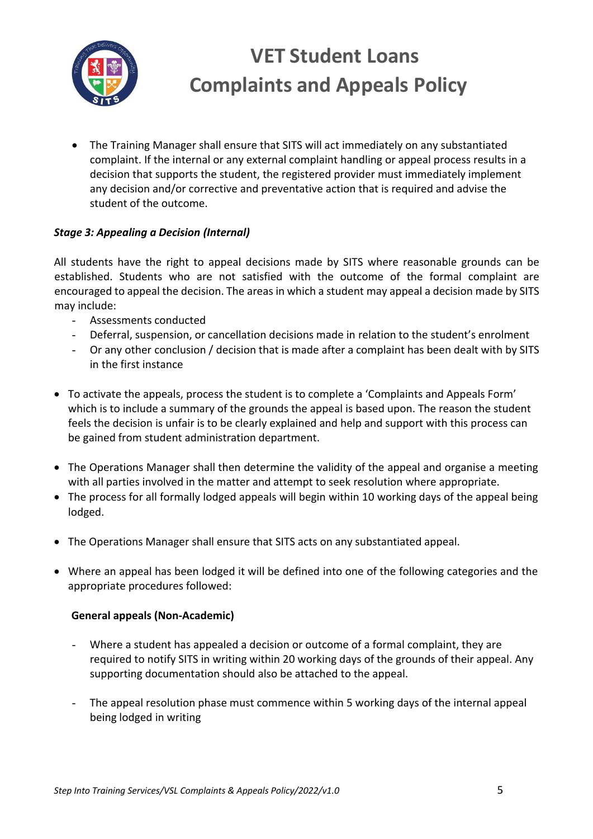

• The Training Manager shall ensure that SITS will act immediately on any substantiated complaint. If the internal or any external complaint handling or appeal process results in a decision that supports the student, the registered provider must immediately implement any decision and/or corrective and preventative action that is required and advise the student of the outcome.

## *Stage 3: Appealing a Decision (Internal)*

All students have the right to appeal decisions made by SITS where reasonable grounds can be established. Students who are not satisfied with the outcome of the formal complaint are encouraged to appeal the decision. The areas in which a student may appeal a decision made by SITS may include:

- Assessments conducted
- Deferral, suspension, or cancellation decisions made in relation to the student's enrolment
- Or any other conclusion / decision that is made after a complaint has been dealt with by SITS in the first instance
- To activate the appeals, process the student is to complete a 'Complaints and Appeals Form' which is to include a summary of the grounds the appeal is based upon. The reason the student feels the decision is unfair is to be clearly explained and help and support with this process can be gained from student administration department.
- The Operations Manager shall then determine the validity of the appeal and organise a meeting with all parties involved in the matter and attempt to seek resolution where appropriate.
- The process for all formally lodged appeals will begin within 10 working days of the appeal being lodged.
- The Operations Manager shall ensure that SITS acts on any substantiated appeal.
- Where an appeal has been lodged it will be defined into one of the following categories and the appropriate procedures followed:

### **General appeals (Non-Academic)**

- Where a student has appealed a decision or outcome of a formal complaint, they are required to notify SITS in writing within 20 working days of the grounds of their appeal. Any supporting documentation should also be attached to the appeal.
- The appeal resolution phase must commence within 5 working days of the internal appeal being lodged in writing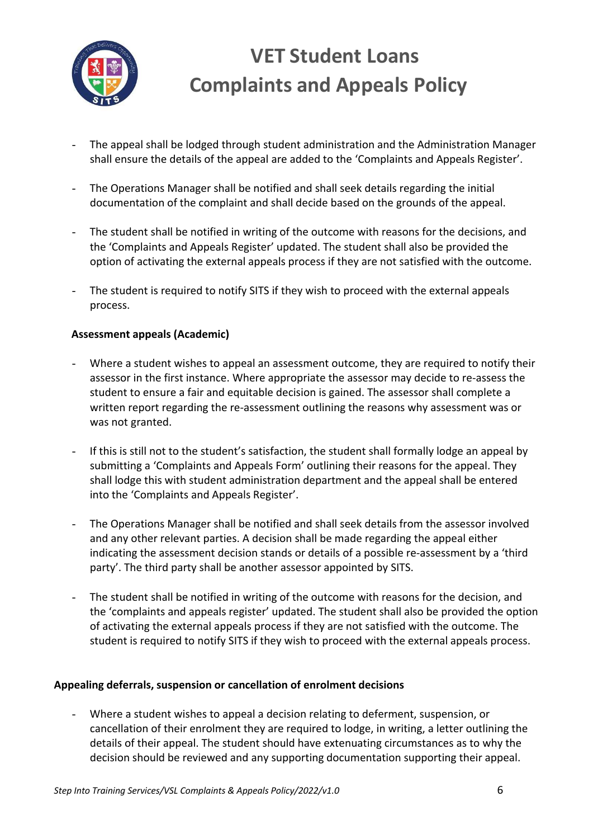

- The appeal shall be lodged through student administration and the Administration Manager shall ensure the details of the appeal are added to the 'Complaints and Appeals Register'.
- The Operations Manager shall be notified and shall seek details regarding the initial documentation of the complaint and shall decide based on the grounds of the appeal.
- The student shall be notified in writing of the outcome with reasons for the decisions, and the 'Complaints and Appeals Register' updated. The student shall also be provided the option of activating the external appeals process if they are not satisfied with the outcome.
- The student is required to notify SITS if they wish to proceed with the external appeals process.

### **Assessment appeals (Academic)**

- Where a student wishes to appeal an assessment outcome, they are required to notify their assessor in the first instance. Where appropriate the assessor may decide to re-assess the student to ensure a fair and equitable decision is gained. The assessor shall complete a written report regarding the re-assessment outlining the reasons why assessment was or was not granted.
- If this is still not to the student's satisfaction, the student shall formally lodge an appeal by submitting a 'Complaints and Appeals Form' outlining their reasons for the appeal. They shall lodge this with student administration department and the appeal shall be entered into the 'Complaints and Appeals Register'.
- The Operations Manager shall be notified and shall seek details from the assessor involved and any other relevant parties. A decision shall be made regarding the appeal either indicating the assessment decision stands or details of a possible re-assessment by a 'third party'. The third party shall be another assessor appointed by SITS.
- The student shall be notified in writing of the outcome with reasons for the decision, and the 'complaints and appeals register' updated. The student shall also be provided the option of activating the external appeals process if they are not satisfied with the outcome. The student is required to notify SITS if they wish to proceed with the external appeals process.

### **Appealing deferrals, suspension or cancellation of enrolment decisions**

Where a student wishes to appeal a decision relating to deferment, suspension, or cancellation of their enrolment they are required to lodge, in writing, a letter outlining the details of their appeal. The student should have extenuating circumstances as to why the decision should be reviewed and any supporting documentation supporting their appeal.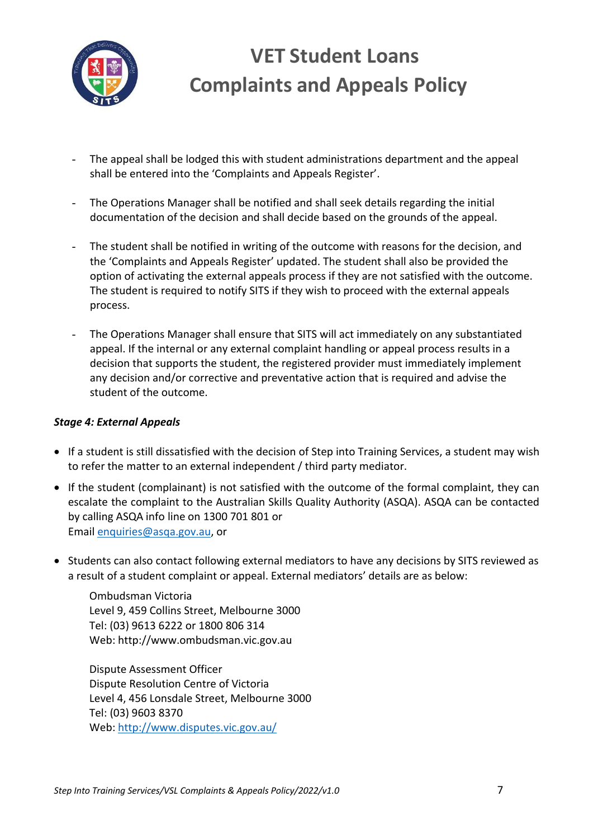

- The appeal shall be lodged this with student administrations department and the appeal shall be entered into the 'Complaints and Appeals Register'.
- The Operations Manager shall be notified and shall seek details regarding the initial documentation of the decision and shall decide based on the grounds of the appeal.
- The student shall be notified in writing of the outcome with reasons for the decision, and the 'Complaints and Appeals Register' updated. The student shall also be provided the option of activating the external appeals process if they are not satisfied with the outcome. The student is required to notify SITS if they wish to proceed with the external appeals process.
- The Operations Manager shall ensure that SITS will act immediately on any substantiated appeal. If the internal or any external complaint handling or appeal process results in a decision that supports the student, the registered provider must immediately implement any decision and/or corrective and preventative action that is required and advise the student of the outcome.

#### *Stage 4: External Appeals*

- If a student is still dissatisfied with the decision of Step into Training Services, a student may wish to refer the matter to an external independent / third party mediator.
- If the student (complainant) is not satisfied with the outcome of the formal complaint, they can escalate the complaint to the Australian Skills Quality Authority (ASQA). ASQA can be contacted by calling ASQA info line on 1300 701 801 or Email enquiries@asqa.gov.au, or
- Students can also contact following external mediators to have any decisions by SITS reviewed as a result of a student complaint or appeal. External mediators' details are as below:

Ombudsman Victoria Level 9, 459 Collins Street, Melbourne 3000 Tel: (03) 9613 6222 or 1800 806 314 Web: http://www.ombudsman.vic.gov.au

Dispute Assessment Officer Dispute Resolution Centre of Victoria Level 4, 456 Lonsdale Street, Melbourne 3000 Tel: (03) 9603 8370 Web: http://www.disputes.vic.gov.au/